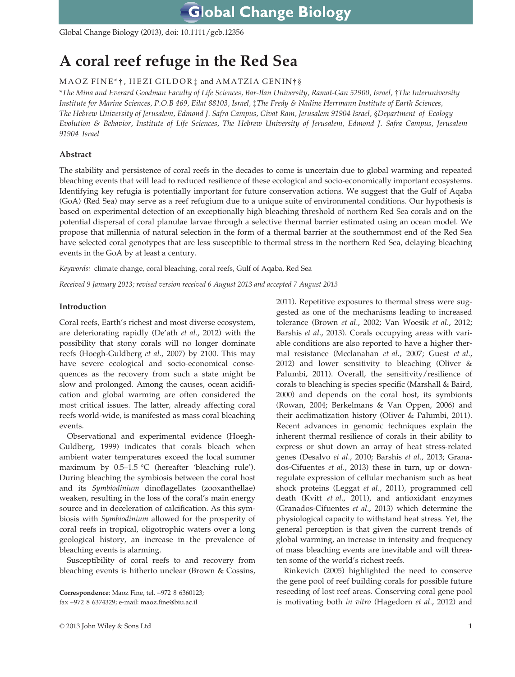Global Change Biology (2013), doi: 10.1111/gcb.12356

# A coral reef refuge in the Red Sea

# MAOZ FINE\*†, HEZI GILDOR‡ and AMATZIA GENIN†§

\*The Mina and Everard Goodman Faculty of Life Sciences, Bar-Ilan University, Ramat-Gan 52900, Israel, †The Interuniversity Institute for Marine Sciences, P.O.B 469, Eilat 88103, Israel, ‡The Fredy & Nadine Herrmann Institute of Earth Sciences, The Hebrew University of Jerusalem, Edmond J. Safra Campus, Givat Ram, Jerusalem 91904 Israel, §Department of Ecology Evolution & Behavior, Institute of Life Sciences, The Hebrew University of Jerusalem, Edmond J. Safra Campus, Jerusalem 91904 Israel

# Abstract

The stability and persistence of coral reefs in the decades to come is uncertain due to global warming and repeated bleaching events that will lead to reduced resilience of these ecological and socio-economically important ecosystems. Identifying key refugia is potentially important for future conservation actions. We suggest that the Gulf of Aqaba (GoA) (Red Sea) may serve as a reef refugium due to a unique suite of environmental conditions. Our hypothesis is based on experimental detection of an exceptionally high bleaching threshold of northern Red Sea corals and on the potential dispersal of coral planulae larvae through a selective thermal barrier estimated using an ocean model. We propose that millennia of natural selection in the form of a thermal barrier at the southernmost end of the Red Sea have selected coral genotypes that are less susceptible to thermal stress in the northern Red Sea, delaying bleaching events in the GoA by at least a century.

Keywords: climate change, coral bleaching, coral reefs, Gulf of Aqaba, Red Sea

Received 9 January 2013; revised version received 6 August 2013 and accepted 7 August 2013

# Introduction

Coral reefs, Earth's richest and most diverse ecosystem, are deteriorating rapidly (De'ath et al., 2012) with the possibility that stony corals will no longer dominate reefs (Hoegh-Guldberg et al., 2007) by 2100. This may have severe ecological and socio-economical consequences as the recovery from such a state might be slow and prolonged. Among the causes, ocean acidification and global warming are often considered the most critical issues. The latter, already affecting coral reefs world-wide, is manifested as mass coral bleaching events.

Observational and experimental evidence (Hoegh-Guldberg, 1999) indicates that corals bleach when ambient water temperatures exceed the local summer maximum by 0.5–1.5 °C (hereafter 'bleaching rule'). During bleaching the symbiosis between the coral host and its Symbiodinium dinoflagellates (zooxanthellae) weaken, resulting in the loss of the coral's main energy source and in deceleration of calcification. As this symbiosis with Symbiodinium allowed for the prosperity of coral reefs in tropical, oligotrophic waters over a long geological history, an increase in the prevalence of bleaching events is alarming.

Susceptibility of coral reefs to and recovery from bleaching events is hitherto unclear (Brown & Cossins,

Correspondence: Maoz Fine, tel. +972 8 6360123; fax +972 8 6374329; e-mail: maoz.fine@biu.ac.il

2011). Repetitive exposures to thermal stress were suggested as one of the mechanisms leading to increased tolerance (Brown et al., 2002; Van Woesik et al., 2012; Barshis et al., 2013). Corals occupying areas with variable conditions are also reported to have a higher thermal resistance (Mcclanahan et al., 2007; Guest et al., 2012) and lower sensitivity to bleaching (Oliver  $\&$ Palumbi, 2011). Overall, the sensitivity/resilience of corals to bleaching is species specific (Marshall & Baird, 2000) and depends on the coral host, its symbionts (Rowan, 2004; Berkelmans & Van Oppen, 2006) and their acclimatization history (Oliver & Palumbi, 2011). Recent advances in genomic techniques explain the inherent thermal resilience of corals in their ability to express or shut down an array of heat stress-related genes (Desalvo et al., 2010; Barshis et al., 2013; Granados-Cifuentes et al., 2013) these in turn, up or downregulate expression of cellular mechanism such as heat shock proteins (Leggat et al., 2011), programmed cell death (Kvitt et al., 2011), and antioxidant enzymes (Granados-Cifuentes et al., 2013) which determine the physiological capacity to withstand heat stress. Yet, the general perception is that given the current trends of global warming, an increase in intensity and frequency of mass bleaching events are inevitable and will threaten some of the world's richest reefs.

Rinkevich (2005) highlighted the need to conserve the gene pool of reef building corals for possible future reseeding of lost reef areas. Conserving coral gene pool is motivating both in vitro (Hagedorn et al., 2012) and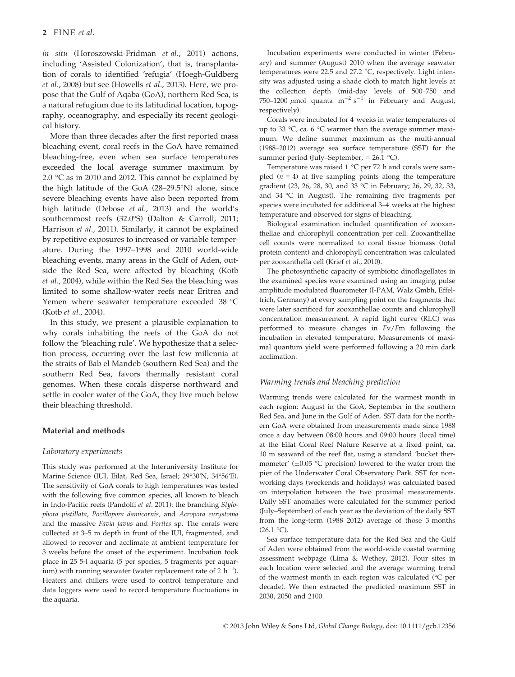in situ (Horoszowski-Fridman et al., 2011) actions, including 'Assisted Colonization', that is, transplantation of corals to identified 'refugia' (Hoegh-Guldberg et al., 2008) but see (Howells et al., 2013). Here, we propose that the Gulf of Aqaba (GoA), northern Red Sea, is a natural refugium due to its latitudinal location, topography, oceanography, and especially its recent geological history.

More than three decades after the first reported mass bleaching event, coral reefs in the GoA have remained bleaching-free, even when sea surface temperatures exceeded the local average summer maximum by 2.0 °C as in 2010 and 2012. This cannot be explained by the high latitude of the GoA (28–29.5°N) alone, since severe bleaching events have also been reported from high latitude (Debose et al., 2013) and the world's southernmost reefs (32.0°S) (Dalton & Carroll, 2011; Harrison et al., 2011). Similarly, it cannot be explained by repetitive exposures to increased or variable temperature. During the 1997–1998 and 2010 world-wide bleaching events, many areas in the Gulf of Aden, outside the Red Sea, were affected by bleaching (Kotb et al., 2004), while within the Red Sea the bleaching was limited to some shallow-water reefs near Eritrea and Yemen where seawater temperature exceeded 38 °C (Kotb et al., 2004).

In this study, we present a plausible explanation to why corals inhabiting the reefs of the GoA do not follow the 'bleaching rule'. We hypothesize that a selection process, occurring over the last few millennia at the straits of Bab el Mandeb (southern Red Sea) and the southern Red Sea, favors thermally resistant coral genomes. When these corals disperse northward and settle in cooler water of the GoA, they live much below their bleaching threshold.

## Material and methods

# Laboratory experiments

This study was performed at the Interuniversity Institute for Marine Science (IUI, Eilat, Red Sea, Israel; 29°30′N, 34°56′E). The sensitivity of GoA corals to high temperatures was tested with the following five common species, all known to bleach in Indo-Pacific reefs (Pandolfi et al. 2011): the branching Stylophora pistillata, Pocillopora damicornis, and Acropora eurystoma and the massive Favia favus and Porites sp. The corals were collected at 3–5 m depth in front of the IUI, fragmented, and allowed to recover and acclimate at ambient temperature for 3 weeks before the onset of the experiment. Incubation took place in 25 5-l aquaria (5 per species, 5 fragments per aquarium) with running seawater (water replacement rate of 2  $\rm h^{-1}$ ). Heaters and chillers were used to control temperature and data loggers were used to record temperature fluctuations in the aquaria.

Incubation experiments were conducted in winter (February) and summer (August) 2010 when the average seawater temperatures were 22.5 and 27.2 °C, respectively. Light intensity was adjusted using a shade cloth to match light levels at the collection depth (mid-day levels of 500–750 and 750–1200  $\mu$ mol quanta m<sup>-2</sup> s<sup>-1</sup> in February and August, respectively).

Corals were incubated for 4 weeks in water temperatures of up to 33 °C, ca. 6 °C warmer than the average summer maximum. We define summer maximum as the multi-annual (1988–2012) average sea surface temperature (SST) for the summer period (July–September, = 26.1 °C).

Temperature was raised 1 °C per 72 h and corals were sampled  $(n = 4)$  at five sampling points along the temperature gradient (23, 26, 28, 30, and 33 °C in February; 26, 29, 32, 33, and 34 °C in August). The remaining five fragments per species were incubated for additional 3–4 weeks at the highest temperature and observed for signs of bleaching.

Biological examination included quantification of zooxanthellae and chlorophyll concentration per cell. Zooxanthellae cell counts were normalized to coral tissue biomass (total protein content) and chlorophyll concentration was calculated per zooxanthella cell (Krief et al., 2010).

The photosynthetic capacity of symbiotic dinoflagellates in the examined species were examined using an imaging pulse amplitude modulated fluorometer (I-PAM, Walz Gmbh, Effeltrich, Germany) at every sampling point on the fragments that were later sacrificed for zooxanthellae counts and chlorophyll concentration measurement. A rapid light curve (RLC) was performed to measure changes in Fv/Fm following the incubation in elevated temperature. Measurements of maximal quantum yield were performed following a 20 min dark acclimation.

# Warming trends and bleaching prediction

Warming trends were calculated for the warmest month in each region: August in the GoA, September in the southern Red Sea, and June in the Gulf of Aden. SST data for the northern GoA were obtained from measurements made since 1988 once a day between 08:00 hours and 09:00 hours (local time) at the Eilat Coral Reef Nature Reserve at a fixed point, ca. 10 m seaward of the reef flat, using a standard 'bucket thermometer'  $(\pm 0.05 \degree C$  precision) lowered to the water from the pier of the Underwater Coral Observatory Park. SST for nonworking days (weekends and holidays) was calculated based on interpolation between the two proximal measurements. Daily SST anomalies were calculated for the summer period (July–September) of each year as the deviation of the daily SST from the long-term (1988–2012) average of those 3 months  $(26.1 \text{ °C})$ .

Sea surface temperature data for the Red Sea and the Gulf of Aden were obtained from the world-wide coastal warming assessment webpage (Lima & Wethey, 2012). Four sites in each location were selected and the average warming trend of the warmest month in each region was calculated (°C per decade). We then extracted the predicted maximum SST in 2030, 2050 and 2100.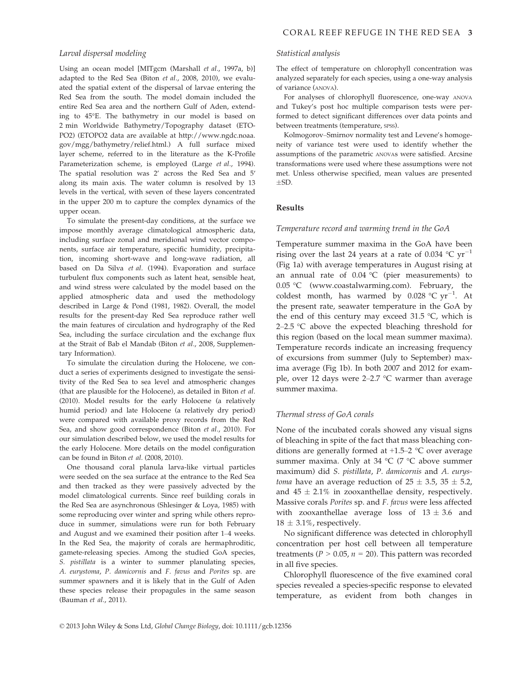#### Larval dispersal modeling

Using an ocean model [MITgcm (Marshall et al., 1997a, b)] adapted to the Red Sea (Biton et al., 2008, 2010), we evaluated the spatial extent of the dispersal of larvae entering the Red Sea from the south. The model domain included the entire Red Sea area and the northern Gulf of Aden, extending to 45°E. The bathymetry in our model is based on 2 min Worldwide Bathymetry/Topography dataset (ETO-PO2) (ETOPO2 data are available at http://www.ngdc.noaa. gov/mgg/bathymetry/relief.html.) A full surface mixed layer scheme, referred to in the literature as the K-Profile Parameterization scheme, is employed (Large et al., 1994). The spatial resolution was 2' across the Red Sea and 5′ along its main axis. The water column is resolved by 13 levels in the vertical, with seven of these layers concentrated in the upper 200 m to capture the complex dynamics of the upper ocean.

To simulate the present-day conditions, at the surface we impose monthly average climatological atmospheric data, including surface zonal and meridional wind vector components, surface air temperature, specific humidity, precipitation, incoming short-wave and long-wave radiation, all based on Da Silva et al. (1994). Evaporation and surface turbulent flux components such as latent heat, sensible heat, and wind stress were calculated by the model based on the applied atmospheric data and used the methodology described in Large & Pond (1981, 1982). Overall, the model results for the present-day Red Sea reproduce rather well the main features of circulation and hydrography of the Red Sea, including the surface circulation and the exchange flux at the Strait of Bab el Mandab (Biton et al., 2008, Supplementary Information).

To simulate the circulation during the Holocene, we conduct a series of experiments designed to investigate the sensitivity of the Red Sea to sea level and atmospheric changes (that are plausible for the Holocene), as detailed in Biton et al. (2010). Model results for the early Holocene (a relatively humid period) and late Holocene (a relatively dry period) were compared with available proxy records from the Red Sea, and show good correspondence (Biton et al., 2010). For our simulation described below, we used the model results for the early Holocene. More details on the model configuration can be found in Biton et al. (2008, 2010).

One thousand coral planula larva-like virtual particles were seeded on the sea surface at the entrance to the Red Sea and then tracked as they were passively advected by the model climatological currents. Since reef building corals in the Red Sea are asynchronous (Shlesinger & Loya, 1985) with some reproducing over winter and spring while others reproduce in summer, simulations were run for both February and August and we examined their position after 1–4 weeks. In the Red Sea, the majority of corals are hermaphroditic, gamete-releasing species. Among the studied GoA species, S. pistillata is a winter to summer planulating species, A. eurystoma, P. damicornis and F. favus and Porites sp. are summer spawners and it is likely that in the Gulf of Aden these species release their propagules in the same season (Bauman et al., 2011).

#### Statistical analysis

The effect of temperature on chlorophyll concentration was analyzed separately for each species, using a one-way analysis of variance (ANOVA).

For analyses of chlorophyll fluorescence, one-way ANOVA and Tukey's post hoc multiple comparison tests were performed to detect significant differences over data points and between treatments (temperature, SPSS).

Kolmogorov–Smirnov normality test and Levene's homogeneity of variance test were used to identify whether the assumptions of the parametric ANOVAs were satisfied. Arcsine transformations were used where these assumptions were not met. Unless otherwise specified, mean values are presented  $+SD.$ 

# Results

### Temperature record and warming trend in the GoA

Temperature summer maxima in the GoA have been rising over the last 24 years at a rate of 0.034  $^{\circ}$ C yr<sup>-1</sup> (Fig 1a) with average temperatures in August rising at an annual rate of  $0.04$  °C (pier measurements) to 0.05 °C (www.coastalwarming.com). February, the coldest month, has warmed by  $0.028 \text{ °C yr}^{-1}$ . At the present rate, seawater temperature in the GoA by the end of this century may exceed 31.5  $\degree$ C, which is 2–2.5  $\degree$ C above the expected bleaching threshold for this region (based on the local mean summer maxima). Temperature records indicate an increasing frequency of excursions from summer (July to September) maxima average (Fig 1b). In both 2007 and 2012 for example, over 12 days were 2–2.7 °C warmer than average summer maxima.

#### Thermal stress of GoA corals

None of the incubated corals showed any visual signs of bleaching in spite of the fact that mass bleaching conditions are generally formed at  $+1.5-2$  °C over average summer maxima. Only at 34 °C (7 °C above summer maximum) did S. pistillata, P. damicornis and A. eurys*toma* have an average reduction of  $25 \pm 3.5$ ,  $35 \pm 5.2$ , and  $45 \pm 2.1\%$  in zooxanthellae density, respectively. Massive corals Porites sp. and F. favus were less affected with zooxanthellae average loss of  $13 \pm 3.6$  and  $18 \pm 3.1\%$ , respectively.

No significant difference was detected in chlorophyll concentration per host cell between all temperature treatments ( $P > 0.05$ ,  $n = 20$ ). This pattern was recorded in all five species.

Chlorophyll fluorescence of the five examined coral species revealed a species-specific response to elevated temperature, as evident from both changes in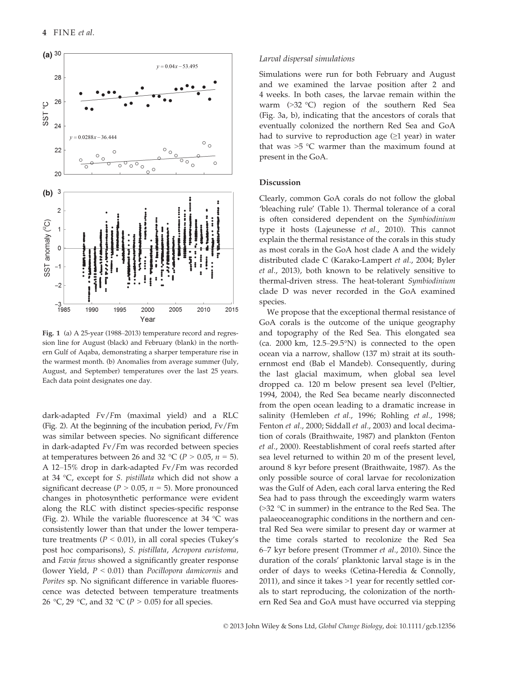

Fig. 1 (a) A 25-year (1988–2013) temperature record and regression line for August (black) and February (blank) in the northern Gulf of Aqaba, demonstrating a sharper temperature rise in the warmest month. (b) Anomalies from average summer (July, August, and September) temperatures over the last 25 years. Each data point designates one day.

dark-adapted Fv/Fm (maximal yield) and a RLC (Fig. 2). At the beginning of the incubation period, Fv/Fm was similar between species. No significant difference in dark-adapted Fv/Fm was recorded between species at temperatures between 26 and 32 °C ( $P > 0.05$ ,  $n = 5$ ). A 12–15% drop in dark-adapted Fv/Fm was recorded at 34 °C, except for S. pistillata which did not show a significant decrease ( $P > 0.05$ ,  $n = 5$ ). More pronounced changes in photosynthetic performance were evident along the RLC with distinct species-specific response (Fig. 2). While the variable fluorescence at 34 °C was consistently lower than that under the lower temperature treatments ( $P < 0.01$ ), in all coral species (Tukey's post hoc comparisons), S. pistillata, Acropora euristoma, and Favia favus showed a significantly greater response (lower Yield,  $P < 0.01$ ) than Pocillopora damicornis and Porites sp. No significant difference in variable fluorescence was detected between temperature treatments 26 °C, 29 °C, and 32 °C ( $P > 0.05$ ) for all species.

#### Larval dispersal simulations

Simulations were run for both February and August and we examined the larvae position after 2 and 4 weeks. In both cases, the larvae remain within the warm (>32 °C) region of the southern Red Sea (Fig. 3a, b), indicating that the ancestors of corals that eventually colonized the northern Red Sea and GoA had to survive to reproduction age  $(\geq 1$  year) in water that was  $>5$  °C warmer than the maximum found at present in the GoA.

# Discussion

Clearly, common GoA corals do not follow the global 'bleaching rule' (Table 1). Thermal tolerance of a coral is often considered dependent on the Symbiodinium type it hosts (Lajeunesse et al., 2010). This cannot explain the thermal resistance of the corals in this study as most corals in the GoA host clade A and the widely distributed clade C (Karako-Lampert et al., 2004; Byler et al., 2013), both known to be relatively sensitive to thermal-driven stress. The heat-tolerant Symbiodinium clade D was never recorded in the GoA examined species.

We propose that the exceptional thermal resistance of GoA corals is the outcome of the unique geography and topography of the Red Sea. This elongated sea (ca. 2000 km, 12.5–29.5°N) is connected to the open ocean via a narrow, shallow (137 m) strait at its southernmost end (Bab el Mandeb). Consequently, during the last glacial maximum, when global sea level dropped ca. 120 m below present sea level (Peltier, 1994, 2004), the Red Sea became nearly disconnected from the open ocean leading to a dramatic increase in salinity (Hemleben et al., 1996; Rohling et al., 1998; Fenton et al., 2000; Siddall et al., 2003) and local decimation of corals (Braithwaite, 1987) and plankton (Fenton et al., 2000). Reestablishment of coral reefs started after sea level returned to within 20 m of the present level, around 8 kyr before present (Braithwaite, 1987). As the only possible source of coral larvae for recolonization was the Gulf of Aden, each coral larva entering the Red Sea had to pass through the exceedingly warm waters (>32 °C in summer) in the entrance to the Red Sea. The palaeoceanographic conditions in the northern and central Red Sea were similar to present day or warmer at the time corals started to recolonize the Red Sea 6–7 kyr before present (Trommer et al., 2010). Since the duration of the corals' planktonic larval stage is in the order of days to weeks (Cetina-Heredia & Connolly, 2011), and since it takes >1 year for recently settled corals to start reproducing, the colonization of the northern Red Sea and GoA must have occurred via stepping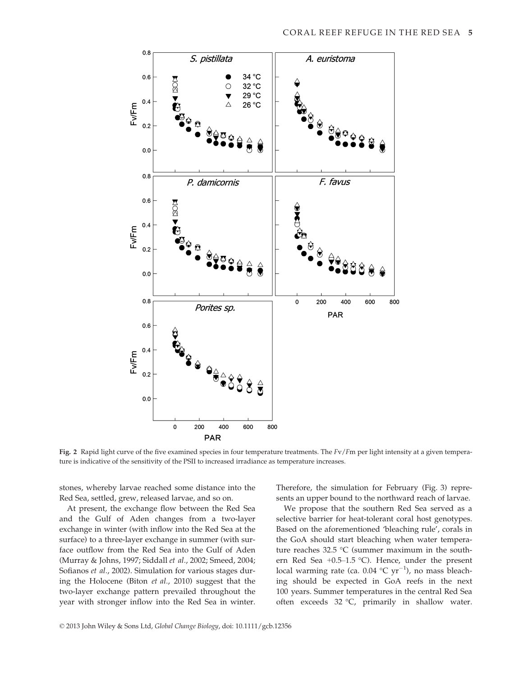

Fig. 2 Rapid light curve of the five examined species in four temperature treatments. The  $Fv/Fm$  per light intensity at a given temperature is indicative of the sensitivity of the PSII to increased irradiance as temperature increases.

stones, whereby larvae reached some distance into the Red Sea, settled, grew, released larvae, and so on.

At present, the exchange flow between the Red Sea and the Gulf of Aden changes from a two-layer exchange in winter (with inflow into the Red Sea at the surface) to a three-layer exchange in summer (with surface outflow from the Red Sea into the Gulf of Aden (Murray & Johns, 1997; Siddall et al., 2002; Smeed, 2004; Sofianos et al., 2002). Simulation for various stages during the Holocene (Biton et al., 2010) suggest that the two-layer exchange pattern prevailed throughout the year with stronger inflow into the Red Sea in winter. Therefore, the simulation for February (Fig. 3) represents an upper bound to the northward reach of larvae.

We propose that the southern Red Sea served as a selective barrier for heat-tolerant coral host genotypes. Based on the aforementioned 'bleaching rule', corals in the GoA should start bleaching when water temperature reaches 32.5 °C (summer maximum in the southern Red Sea +0.5–1.5 °C). Hence, under the present local warming rate (ca.  $0.04 \text{ °C yr}^{-1}$ ), no mass bleaching should be expected in GoA reefs in the next 100 years. Summer temperatures in the central Red Sea often exceeds 32 °C, primarily in shallow water.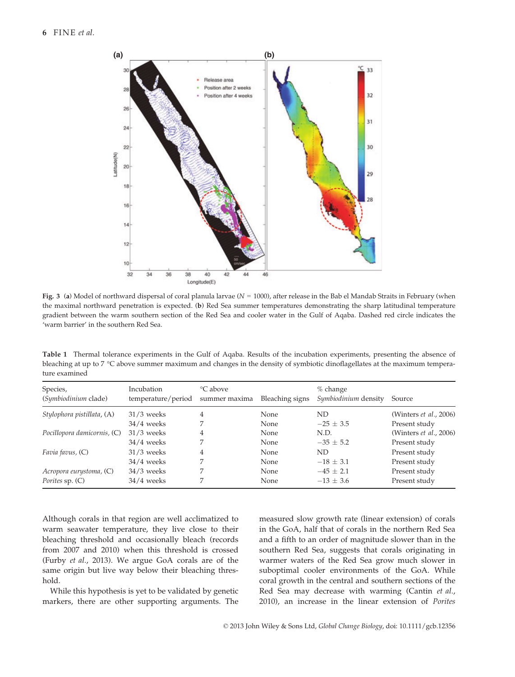

Fig. 3 (a) Model of northward dispersal of coral planula larvae ( $N = 1000$ ), after release in the Bab el Mandab Straits in February (when the maximal northward penetration is expected. (b) Red Sea summer temperatures demonstrating the sharp latitudinal temperature gradient between the warm southern section of the Red Sea and cooler water in the Gulf of Aqaba. Dashed red circle indicates the 'warm barrier' in the southern Red Sea.

Table 1 Thermal tolerance experiments in the Gulf of Aqaba. Results of the incubation experiments, presenting the absence of bleaching at up to 7 °C above summer maximum and changes in the density of symbiotic dinoflagellates at the maximum temperature examined

| Species,<br>(Symbiodinium clade) | Incubation<br>temperature/period | °C above<br>summer maxima | Bleaching signs | $%$ change<br>Symbiodinium density | Source                         |
|----------------------------------|----------------------------------|---------------------------|-----------------|------------------------------------|--------------------------------|
| Stylophora pistillata, (A)       | $31/3$ weeks                     | 4                         | None            | ND                                 | (Winters <i>et al.</i> , 2006) |
|                                  | $34/4$ weeks                     |                           | None            | $-25 \pm 3.5$                      | Present study                  |
| Pocillopora damicornis, (C)      | $31/3$ weeks                     | 4                         | None            | N.D.                               | (Winters <i>et al.</i> , 2006) |
|                                  | $34/4$ weeks                     |                           | None            | $-35 \pm 5.2$                      | Present study                  |
| Favia favus, (C)                 | $31/3$ weeks                     | 4                         | None            | ND.                                | Present study                  |
|                                  | $34/4$ weeks                     |                           | None            | $-18 \pm 3.1$                      | Present study                  |
| Acropora eurystoma, (C)          | $34/3$ weeks                     | ⇁                         | None            | $-45 + 2.1$                        | Present study                  |
| Porites sp. (C)                  | $34/4$ weeks                     |                           | None            | $-13 \pm 3.6$                      | Present study                  |

Although corals in that region are well acclimatized to warm seawater temperature, they live close to their bleaching threshold and occasionally bleach (records from 2007 and 2010) when this threshold is crossed (Furby et al., 2013). We argue GoA corals are of the same origin but live way below their bleaching threshold.

While this hypothesis is yet to be validated by genetic markers, there are other supporting arguments. The measured slow growth rate (linear extension) of corals in the GoA, half that of corals in the northern Red Sea and a fifth to an order of magnitude slower than in the southern Red Sea, suggests that corals originating in warmer waters of the Red Sea grow much slower in suboptimal cooler environments of the GoA. While coral growth in the central and southern sections of the Red Sea may decrease with warming (Cantin et al., 2010), an increase in the linear extension of Porites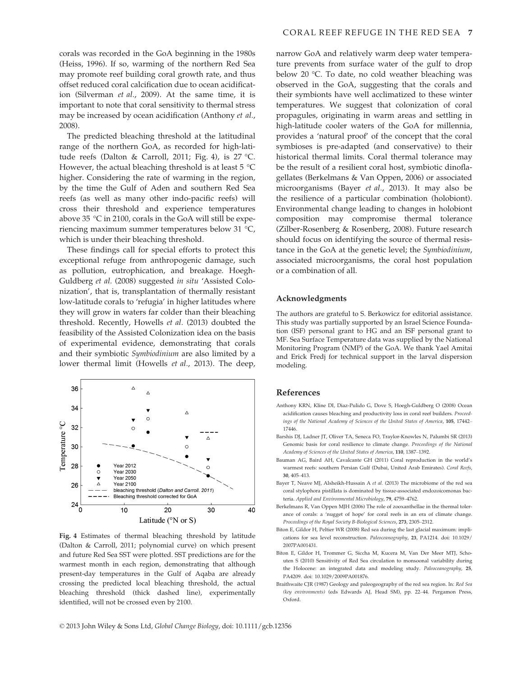corals was recorded in the GoA beginning in the 1980s (Heiss, 1996). If so, warming of the northern Red Sea may promote reef building coral growth rate, and thus offset reduced coral calcification due to ocean acidification (Silverman et al., 2009). At the same time, it is important to note that coral sensitivity to thermal stress may be increased by ocean acidification (Anthony et al., 2008).

The predicted bleaching threshold at the latitudinal range of the northern GoA, as recorded for high-latitude reefs (Dalton & Carroll, 2011; Fig. 4), is 27 °C. However, the actual bleaching threshold is at least 5  $^{\circ}$ C higher. Considering the rate of warming in the region, by the time the Gulf of Aden and southern Red Sea reefs (as well as many other indo-pacific reefs) will cross their threshold and experience temperatures above 35 °C in 2100, corals in the GoA will still be experiencing maximum summer temperatures below 31 °C, which is under their bleaching threshold.

These findings call for special efforts to protect this exceptional refuge from anthropogenic damage, such as pollution, eutrophication, and breakage. Hoegh-Guldberg et al. (2008) suggested in situ 'Assisted Colonization', that is, transplantation of thermally resistant low-latitude corals to 'refugia' in higher latitudes where they will grow in waters far colder than their bleaching threshold. Recently, Howells et al. (2013) doubted the feasibility of the Assisted Colonization idea on the basis of experimental evidence, demonstrating that corals and their symbiotic Symbiodinium are also limited by a lower thermal limit (Howells et al., 2013). The deep,



Fig. 4 Estimates of thermal bleaching threshold by latitude (Dalton & Carroll, 2011; polynomial curve) on which present and future Red Sea SST were plotted. SST predictions are for the warmest month in each region, demonstrating that although present-day temperatures in the Gulf of Aqaba are already crossing the predicted local bleaching threshold, the actual bleaching threshold (thick dashed line), experimentally identified, will not be crossed even by 2100.

narrow GoA and relatively warm deep water temperature prevents from surface water of the gulf to drop below 20 °C. To date, no cold weather bleaching was observed in the GoA, suggesting that the corals and their symbionts have well acclimatized to these winter temperatures. We suggest that colonization of coral propagules, originating in warm areas and settling in high-latitude cooler waters of the GoA for millennia, provides a 'natural proof' of the concept that the coral symbioses is pre-adapted (and conservative) to their historical thermal limits. Coral thermal tolerance may be the result of a resilient coral host, symbiotic dinoflagellates (Berkelmans & Van Oppen, 2006) or associated microorganisms (Bayer et al., 2013). It may also be the resilience of a particular combination (holobiont). Environmental change leading to changes in holobiont composition may compromise thermal tolerance (Zilber-Rosenberg & Rosenberg, 2008). Future research should focus on identifying the source of thermal resistance in the GoA at the genetic level; the Symbiodinium, associated microorganisms, the coral host population or a combination of all.

### Acknowledgments

The authors are grateful to S. Berkowicz for editorial assistance. This study was partially supported by an Israel Science Foundation (ISF) personal grant to HG and an ISF personal grant to MF. Sea Surface Temperature data was supplied by the National Monitoring Program (NMP) of the GoA. We thank Yael Amitai and Erick Fredj for technical support in the larval dispersion modeling.

## References

- Anthony KRN, Kline DI, Diaz-Pulido G, Dove S, Hoegh-Guldberg O (2008) Ocean acidification causes bleaching and productivity loss in coral reef builders. Proceedings of the National Academy of Sciences of the United States of America, 105, 17442– 17446.
- Barshis DJ, Ladner JT, Oliver TA, Seneca FO, Traylor-Knowles N, Palumbi SR (2013) Genomic basis for coral resilience to climate change. Proceedings of the National Academy of Sciences of the United States of America, 110, 1387–1392.
- Bauman AG, Baird AH, Cavalcante GH (2011) Coral reproduction in the world's warmest reefs: southern Persian Gulf (Dubai, United Arab Emirates). Coral Reefs, 30, 405–413.
- Bayer T, Neave MJ, Alsheikh-Hussain A et al. (2013) The microbiome of the red sea coral stylophora pistillata is dominated by tissue-associated endozoicomonas bacteria. Applied and Environmental Microbiology, 79, 4759–4762.
- Berkelmans R, Van Oppen MJH (2006) The role of zooxanthellae in the thermal tolerance of corals: a 'nugget of hope' for coral reefs in an era of climate change. Proceedings of the Royal Society B-Biological Sciences, 273, 2305–2312.
- Biton E, Gildor H, Peltier WR (2008) Red sea during the last glacial maximum: implications for sea level reconstruction. Paleoceanography, 23, PA1214. doi: 10.1029/ 2007PA001431.
- Biton E, Gildor H, Trommer G, Siccha M, Kucera M, Van Der Meer MTJ, Schouten S (2010) Sensitivity of Red Sea circulation to monsoonal variability during the Holocene: an integrated data and modeling study. Paleoceanography, 25, PA4209. doi: 10.1029/2009PA001876.
- Braithwaite CJR (1987) Geology and paleogeography of the red sea region. In: Red Sea (key environments) (eds Edwards AJ, Head SM), pp. 22–44. Pergamon Press, Oxford.